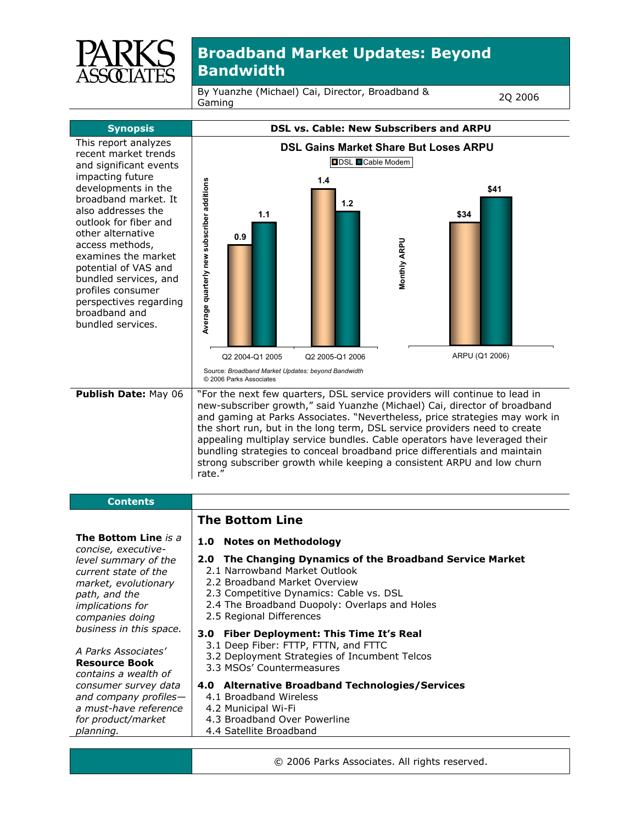

By Yuanzhe (Michael) Cai, Director, Broadband & Gaming 2Q 2006



- 2.3 Competitive Dynamics: Cable vs. DSL
- 2.4 The Broadband Duopoly: Overlaps and Holes
- 2.5 Regional Differences
- **3.0 Fiber Deployment: This Time It's Real** 
	- 3.1 Deep Fiber: FTTP, FTTN, and FTTC
	- 3.2 Deployment Strategies of Incumbent Telcos
- 3.3 MSOs' Countermeasures
- **4.0 Alternative Broadband Technologies/Services** 
	- 4.1 Broadband Wireless
	- 4.2 Municipal Wi-Fi
- 4.3 Broadband Over Powerline
- 4.4 Satellite Broadband
	- © 2006 Parks Associates. All rights reserved.
- **Resource Book**  *contains a wealth of consumer survey data and company profiles a must-have reference for product/market planning.*

*implications for companies doing business in this space.* 

*A Parks Associates'*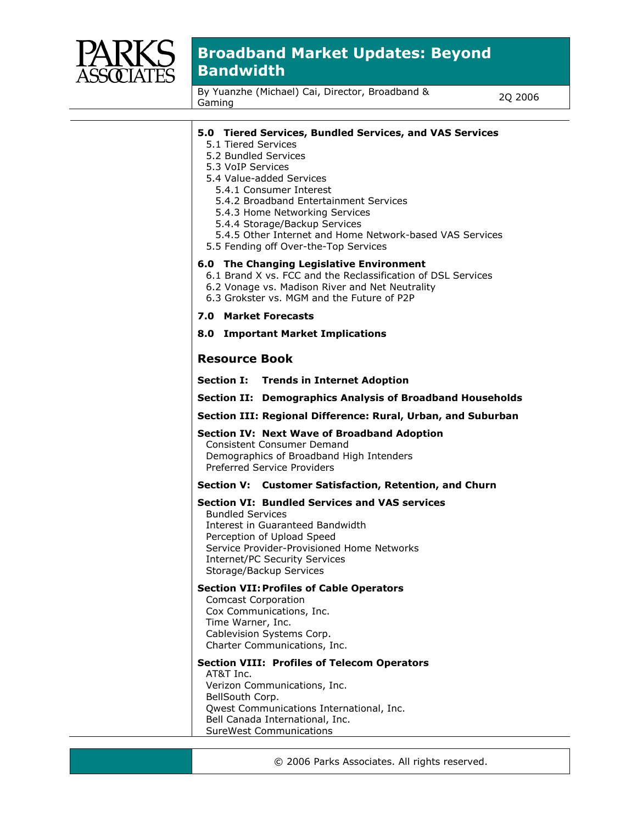

By Yuanzhe (Michael) Cai, Director, Broadband & Gaming 2Q 2006

| 5.0 Tiered Services, Bundled Services, and VAS Services<br>5.1 Tiered Services<br>5.2 Bundled Services<br>5.3 VoIP Services<br>5.4 Value-added Services<br>5.4.1 Consumer Interest<br>5.4.2 Broadband Entertainment Services<br>5.4.3 Home Networking Services<br>5.4.4 Storage/Backup Services<br>5.4.5 Other Internet and Home Network-based VAS Services<br>5.5 Fending off Over-the-Top Services |
|------------------------------------------------------------------------------------------------------------------------------------------------------------------------------------------------------------------------------------------------------------------------------------------------------------------------------------------------------------------------------------------------------|
| 6.0 The Changing Legislative Environment<br>6.1 Brand X vs. FCC and the Reclassification of DSL Services<br>6.2 Vonage vs. Madison River and Net Neutrality<br>6.3 Grokster vs. MGM and the Future of P2P                                                                                                                                                                                            |
| <b>7.0 Market Forecasts</b>                                                                                                                                                                                                                                                                                                                                                                          |
| 8.0 Important Market Implications                                                                                                                                                                                                                                                                                                                                                                    |
| <b>Resource Book</b>                                                                                                                                                                                                                                                                                                                                                                                 |
| <b>Section I: Trends in Internet Adoption</b>                                                                                                                                                                                                                                                                                                                                                        |
| Section II: Demographics Analysis of Broadband Households                                                                                                                                                                                                                                                                                                                                            |
| Section III: Regional Difference: Rural, Urban, and Suburban                                                                                                                                                                                                                                                                                                                                         |
| <b>Section IV: Next Wave of Broadband Adoption</b><br><b>Consistent Consumer Demand</b><br>Demographics of Broadband High Intenders<br><b>Preferred Service Providers</b>                                                                                                                                                                                                                            |
| Section V: Customer Satisfaction, Retention, and Churn                                                                                                                                                                                                                                                                                                                                               |
| <b>Section VI: Bundled Services and VAS services</b><br><b>Bundled Services</b><br>Interest in Guaranteed Bandwidth<br>Perception of Upload Speed<br>Service Provider-Provisioned Home Networks<br><b>Internet/PC Security Services</b><br>Storage/Backup Services                                                                                                                                   |
| <b>Section VII: Profiles of Cable Operators</b><br><b>Comcast Corporation</b><br>Cox Communications, Inc.<br>Time Warner, Inc.<br>Cablevision Systems Corp.<br>Charter Communications, Inc.                                                                                                                                                                                                          |
| <b>Section VIII: Profiles of Telecom Operators</b><br>AT&T Inc.<br>Verizon Communications, Inc.<br>BellSouth Corp.<br>Qwest Communications International, Inc.<br>Bell Canada International, Inc.<br><b>SureWest Communications</b>                                                                                                                                                                  |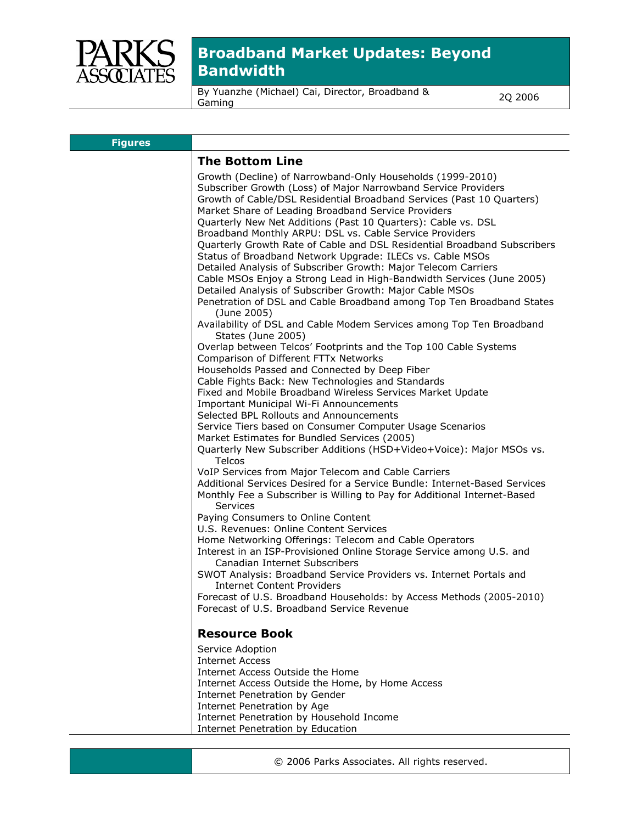

By Yuanzhe (Michael) Cai, Director, Broadband & Gaming 2Q 2006

| <b>Figures</b> |                                                                                                                                                                                                                                                                                                                                                                                                                                      |
|----------------|--------------------------------------------------------------------------------------------------------------------------------------------------------------------------------------------------------------------------------------------------------------------------------------------------------------------------------------------------------------------------------------------------------------------------------------|
|                | <b>The Bottom Line</b>                                                                                                                                                                                                                                                                                                                                                                                                               |
|                | Growth (Decline) of Narrowband-Only Households (1999-2010)<br>Subscriber Growth (Loss) of Major Narrowband Service Providers<br>Growth of Cable/DSL Residential Broadband Services (Past 10 Quarters)<br>Market Share of Leading Broadband Service Providers<br>Quarterly New Net Additions (Past 10 Quarters): Cable vs. DSL<br>Broadband Monthly ARPU: DSL vs. Cable Service Providers                                             |
|                | Quarterly Growth Rate of Cable and DSL Residential Broadband Subscribers<br>Status of Broadband Network Upgrade: ILECs vs. Cable MSOs<br>Detailed Analysis of Subscriber Growth: Major Telecom Carriers<br>Cable MSOs Enjoy a Strong Lead in High-Bandwidth Services (June 2005)<br>Detailed Analysis of Subscriber Growth: Major Cable MSOs<br>Penetration of DSL and Cable Broadband among Top Ten Broadband States<br>(June 2005) |
|                | Availability of DSL and Cable Modem Services among Top Ten Broadband<br>States (June 2005)                                                                                                                                                                                                                                                                                                                                           |
|                | Overlap between Telcos' Footprints and the Top 100 Cable Systems<br>Comparison of Different FTTx Networks                                                                                                                                                                                                                                                                                                                            |
|                | Households Passed and Connected by Deep Fiber<br>Cable Fights Back: New Technologies and Standards<br>Fixed and Mobile Broadband Wireless Services Market Update<br>Important Municipal Wi-Fi Announcements                                                                                                                                                                                                                          |
|                | Selected BPL Rollouts and Announcements<br>Service Tiers based on Consumer Computer Usage Scenarios<br>Market Estimates for Bundled Services (2005)                                                                                                                                                                                                                                                                                  |
|                | Quarterly New Subscriber Additions (HSD+Video+Voice): Major MSOs vs.<br><b>Telcos</b>                                                                                                                                                                                                                                                                                                                                                |
|                | VoIP Services from Major Telecom and Cable Carriers<br>Additional Services Desired for a Service Bundle: Internet-Based Services<br>Monthly Fee a Subscriber is Willing to Pay for Additional Internet-Based<br><b>Services</b>                                                                                                                                                                                                      |
|                | Paying Consumers to Online Content<br>U.S. Revenues: Online Content Services                                                                                                                                                                                                                                                                                                                                                         |
|                | Home Networking Offerings: Telecom and Cable Operators<br>Interest in an ISP-Provisioned Online Storage Service among U.S. and<br>Canadian Internet Subscribers                                                                                                                                                                                                                                                                      |
|                | SWOT Analysis: Broadband Service Providers vs. Internet Portals and<br><b>Internet Content Providers</b><br>Forecast of U.S. Broadband Households: by Access Methods (2005-2010)<br>Forecast of U.S. Broadband Service Revenue                                                                                                                                                                                                       |
|                | <b>Resource Book</b>                                                                                                                                                                                                                                                                                                                                                                                                                 |
|                | Service Adoption<br><b>Internet Access</b><br>Internet Access Outside the Home<br>Internet Access Outside the Home, by Home Access<br>Internet Penetration by Gender<br>Internet Penetration by Age                                                                                                                                                                                                                                  |
|                | Internet Penetration by Household Income<br>Internet Penetration by Education                                                                                                                                                                                                                                                                                                                                                        |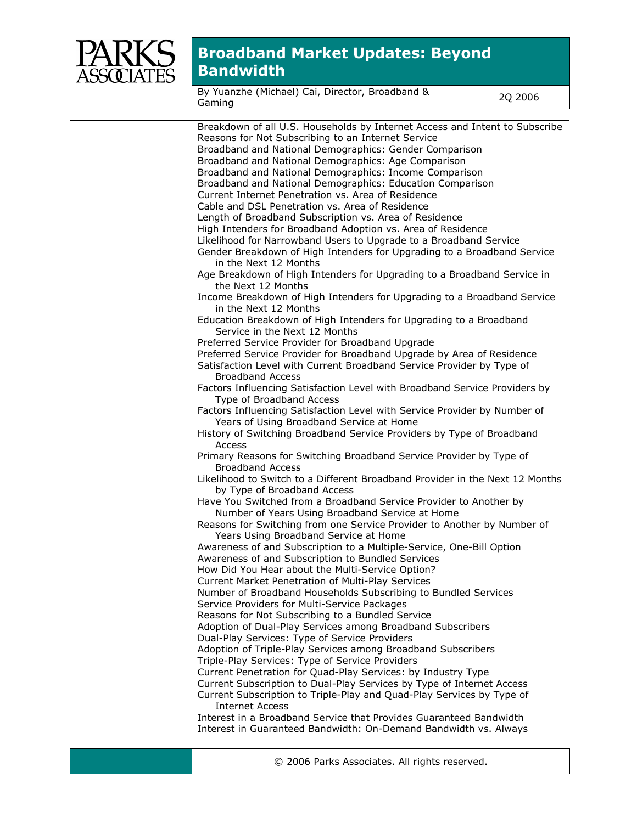

By Yuanzhe (Michael) Cai, Director, Broadband & Gaming 2Q 2006

| Breakdown of all U.S. Households by Internet Access and Intent to Subscribe                                           |
|-----------------------------------------------------------------------------------------------------------------------|
| Reasons for Not Subscribing to an Internet Service                                                                    |
| Broadband and National Demographics: Gender Comparison                                                                |
| Broadband and National Demographics: Age Comparison                                                                   |
| Broadband and National Demographics: Income Comparison                                                                |
| Broadband and National Demographics: Education Comparison                                                             |
| Current Internet Penetration vs. Area of Residence                                                                    |
| Cable and DSL Penetration vs. Area of Residence                                                                       |
| Length of Broadband Subscription vs. Area of Residence                                                                |
| High Intenders for Broadband Adoption vs. Area of Residence                                                           |
| Likelihood for Narrowband Users to Upgrade to a Broadband Service                                                     |
| Gender Breakdown of High Intenders for Upgrading to a Broadband Service                                               |
| in the Next 12 Months                                                                                                 |
| Age Breakdown of High Intenders for Upgrading to a Broadband Service in                                               |
| the Next 12 Months                                                                                                    |
| Income Breakdown of High Intenders for Upgrading to a Broadband Service                                               |
| in the Next 12 Months                                                                                                 |
| Education Breakdown of High Intenders for Upgrading to a Broadband<br>Service in the Next 12 Months                   |
| Preferred Service Provider for Broadband Upgrade                                                                      |
| Preferred Service Provider for Broadband Upgrade by Area of Residence                                                 |
| Satisfaction Level with Current Broadband Service Provider by Type of                                                 |
| <b>Broadband Access</b>                                                                                               |
| Factors Influencing Satisfaction Level with Broadband Service Providers by                                            |
| Type of Broadband Access                                                                                              |
| Factors Influencing Satisfaction Level with Service Provider by Number of<br>Years of Using Broadband Service at Home |
| History of Switching Broadband Service Providers by Type of Broadband                                                 |
| Access                                                                                                                |
| Primary Reasons for Switching Broadband Service Provider by Type of<br><b>Broadband Access</b>                        |
| Likelihood to Switch to a Different Broadband Provider in the Next 12 Months                                          |
| by Type of Broadband Access                                                                                           |
| Have You Switched from a Broadband Service Provider to Another by<br>Number of Years Using Broadband Service at Home  |
| Reasons for Switching from one Service Provider to Another by Number of                                               |
| Years Using Broadband Service at Home                                                                                 |
| Awareness of and Subscription to a Multiple-Service, One-Bill Option                                                  |
| Awareness of and Subscription to Bundled Services                                                                     |
| How Did You Hear about the Multi-Service Option?                                                                      |
| Current Market Penetration of Multi-Play Services                                                                     |
| Number of Broadband Households Subscribing to Bundled Services                                                        |
| Service Providers for Multi-Service Packages                                                                          |
| Reasons for Not Subscribing to a Bundled Service                                                                      |
| Adoption of Dual-Play Services among Broadband Subscribers                                                            |
| Dual-Play Services: Type of Service Providers                                                                         |
| Adoption of Triple-Play Services among Broadband Subscribers                                                          |
| Triple-Play Services: Type of Service Providers                                                                       |
| Current Penetration for Quad-Play Services: by Industry Type                                                          |
| Current Subscription to Dual-Play Services by Type of Internet Access                                                 |
| Current Subscription to Triple-Play and Quad-Play Services by Type of                                                 |
| <b>Internet Access</b>                                                                                                |
| Interest in a Broadband Service that Provides Guaranteed Bandwidth                                                    |
| Interest in Guaranteed Bandwidth: On-Demand Bandwidth vs. Always                                                      |
|                                                                                                                       |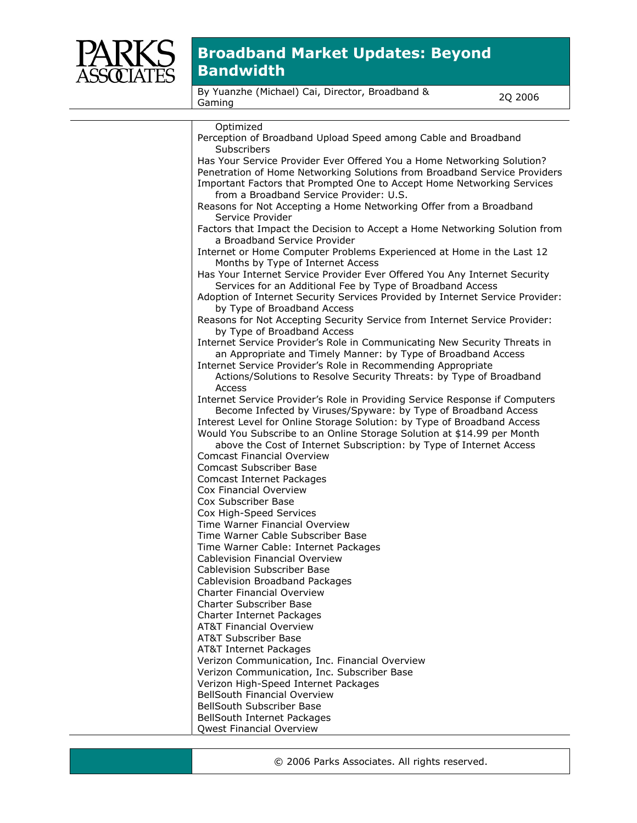

By Yuanzhe (Michael) Cai, Director, Broadband & Gaming 2Q 2006

| Optimized                                                                     |
|-------------------------------------------------------------------------------|
| Perception of Broadband Upload Speed among Cable and Broadband                |
| Subscribers                                                                   |
| Has Your Service Provider Ever Offered You a Home Networking Solution?        |
| Penetration of Home Networking Solutions from Broadband Service Providers     |
| Important Factors that Prompted One to Accept Home Networking Services        |
| from a Broadband Service Provider: U.S.                                       |
| Reasons for Not Accepting a Home Networking Offer from a Broadband            |
| Service Provider                                                              |
| Factors that Impact the Decision to Accept a Home Networking Solution from    |
| a Broadband Service Provider                                                  |
| Internet or Home Computer Problems Experienced at Home in the Last 12         |
| Months by Type of Internet Access                                             |
| Has Your Internet Service Provider Ever Offered You Any Internet Security     |
| Services for an Additional Fee by Type of Broadband Access                    |
| Adoption of Internet Security Services Provided by Internet Service Provider: |
| by Type of Broadband Access                                                   |
| Reasons for Not Accepting Security Service from Internet Service Provider:    |
| by Type of Broadband Access                                                   |
| Internet Service Provider's Role in Communicating New Security Threats in     |
| an Appropriate and Timely Manner: by Type of Broadband Access                 |
| Internet Service Provider's Role in Recommending Appropriate                  |
| Actions/Solutions to Resolve Security Threats: by Type of Broadband           |
| Access                                                                        |
| Internet Service Provider's Role in Providing Service Response if Computers   |
| Become Infected by Viruses/Spyware: by Type of Broadband Access               |
| Interest Level for Online Storage Solution: by Type of Broadband Access       |
| Would You Subscribe to an Online Storage Solution at \$14.99 per Month        |
| above the Cost of Internet Subscription: by Type of Internet Access           |
| <b>Comcast Financial Overview</b>                                             |
| <b>Comcast Subscriber Base</b>                                                |
| Comcast Internet Packages                                                     |
| Cox Financial Overview                                                        |
| Cox Subscriber Base                                                           |
| Cox High-Speed Services                                                       |
| Time Warner Financial Overview                                                |
| Time Warner Cable Subscriber Base                                             |
| Time Warner Cable: Internet Packages                                          |
| Cablevision Financial Overview                                                |
| <b>Cablevision Subscriber Base</b>                                            |
| Cablevision Broadband Packages                                                |
| <b>Charter Financial Overview</b>                                             |
| <b>Charter Subscriber Base</b>                                                |
| Charter Internet Packages                                                     |
| <b>AT&amp;T Financial Overview</b>                                            |
| <b>AT&amp;T Subscriber Base</b>                                               |
| AT&T Internet Packages                                                        |
| Verizon Communication, Inc. Financial Overview                                |
| Verizon Communication, Inc. Subscriber Base                                   |
| Verizon High-Speed Internet Packages                                          |
| <b>BellSouth Financial Overview</b>                                           |
| BellSouth Subscriber Base                                                     |
| BellSouth Internet Packages                                                   |
| Qwest Financial Overview                                                      |